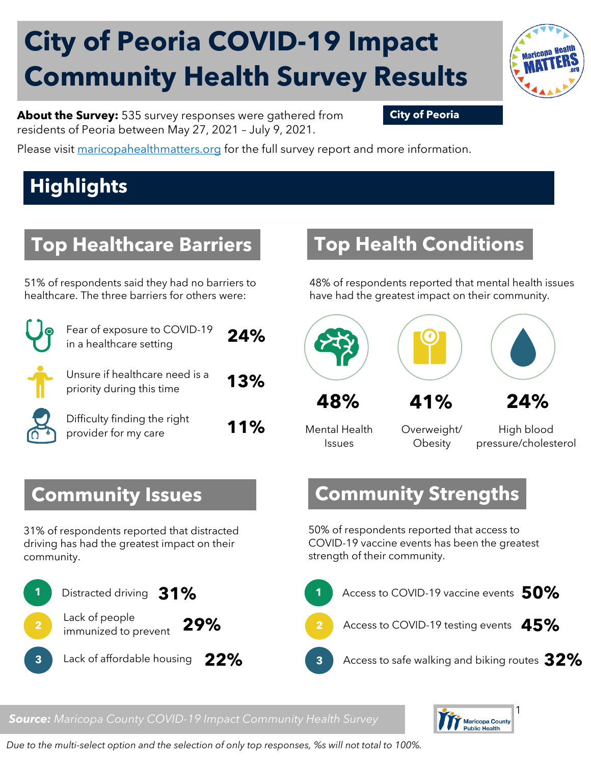# **City of Peoria COVID-19 Impact Community Health Survey Results**



Please visit [maricopahealthmatters.org](https://www.maricopa.gov/5100/Health-Data-Maricopa-Health-Matters) for the full survey report and more information.

## **Highlights**

## **Top Healthcare Barriers**

51% of respondents said they had no barriers to healthcare. The three barriers for others were:

| Fear of exposure to COVID-19<br>in a healthcare setting     | 24%    |
|-------------------------------------------------------------|--------|
| Unsure if healthcare need is a<br>priority during this time | 13%    |
| Difficulty finding the right<br>provider for my care        | $11\%$ |

#### **Top Health Conditions**

48% of respondents reported that mental health issues have had the greatest impact on their community.



**Mental Health** Issues

Overweight/ **Obesity** 

High blood pressure/cholesterol

#### **Community Issues**

31% of respondents reported that distracted driving has had the greatest impact on their community.



#### **Community Strengths**

50% of respondents reported that access to COVID-19 vaccine events has been the greatest strength of their community.



#### $\mathbf{r}$ **Public Health**

*Source: Maricopa County COVID-19 Impact Community Health Survey*

*Due to the multi-select option and the selection of only top responses, %s will not total to 100%.* 



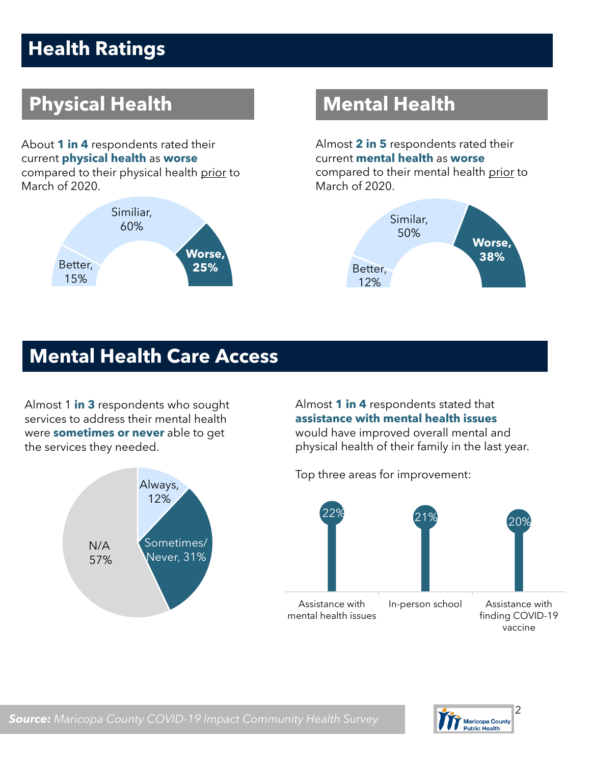## **Health Ratings**

## **Physical Health Mental Health**

About **1 in 4** respondents rated their current **physical health** as **worse** compared to their physical health prior to March of 2020.



Almost **2 in 5** respondents rated their current **mental health** as **worse** compared to their mental health prior to March of 2020.



#### **Mental Health Care Access**

Almost 1 **in 3** respondents who sought services to address their mental health were **sometimes or never** able to get the services they needed.



Almost **1 in 4** respondents stated that **assistance with mental health issues** would have improved overall mental and physical health of their family in the last year.

Top three areas for improvement:



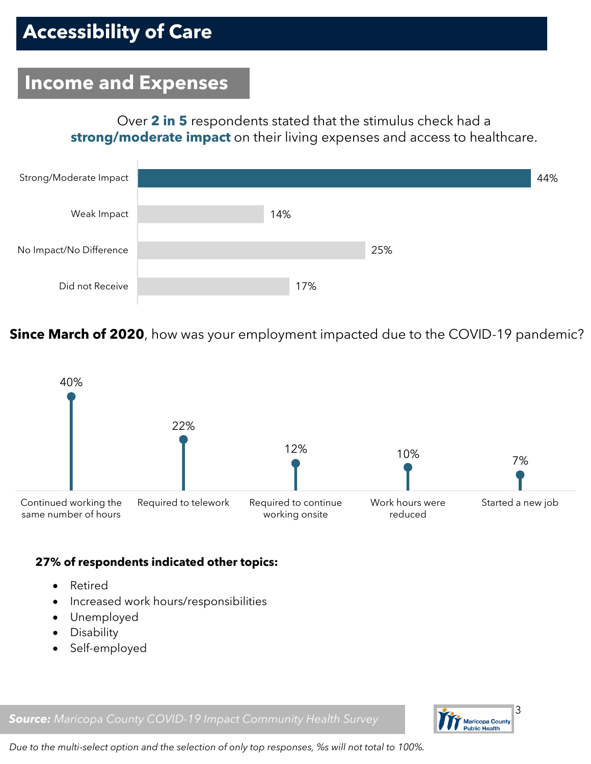#### **Income and Expenses**

Over **2 in 5** respondents stated that the stimulus check had a **strong/moderate impact** on their living expenses and access to healthcare.



**Since March of 2020**, how was your employment impacted due to the COVID-19 pandemic?



#### **27% of respondents indicated other topics:**

- Retired
- Increased work hours/responsibilities
- Unemployed
- Disability
- Self-employed

*Source: Maricopa County COVID-19 Impact Community Health Survey*



*Due to the multi-select option and the selection of only top responses, %s will not total to 100%.*